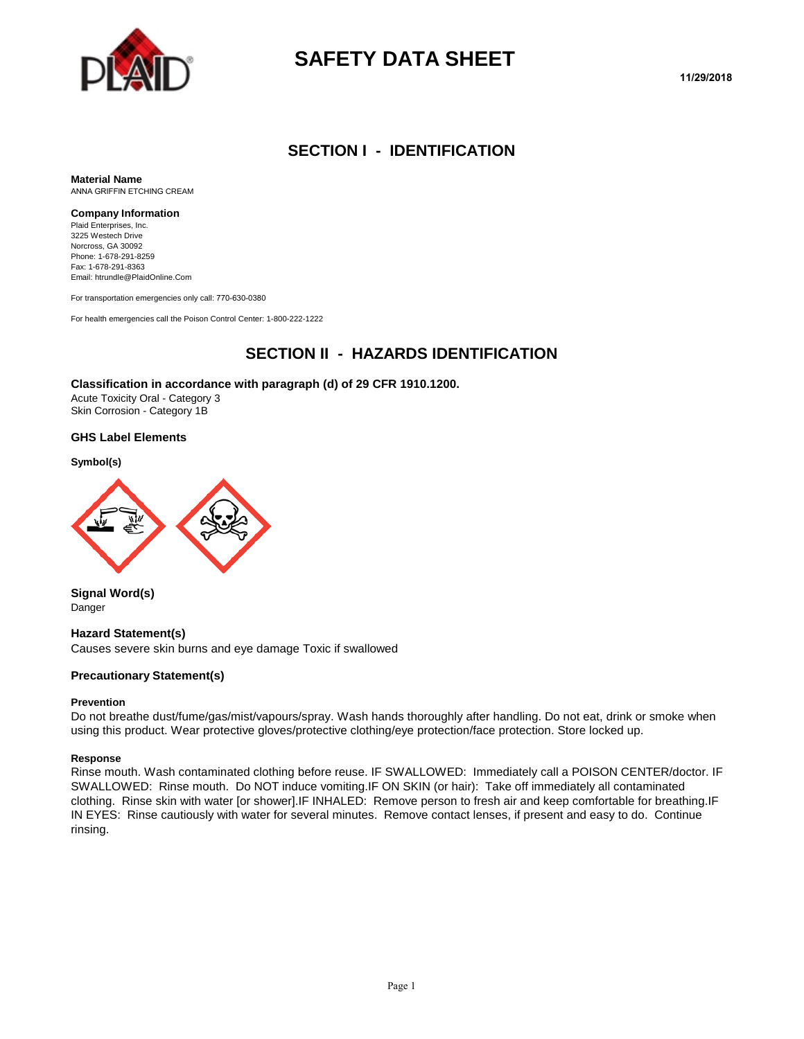

# **SAFETY DATA SHEET**

#### **SECTION I - IDENTIFICATION**

**Material Name** ANNA GRIFFIN ETCHING CREAM

#### **Company Information**

Plaid Enterprises, Inc. 3225 Westech Drive Norcross, GA 30092 Phone: 1-678-291-8259 Fax: 1-678-291-8363 Email: htrundle@PlaidOnline.Com

For transportation emergencies only call: 770-630-0380

For health emergencies call the Poison Control Center: 1-800-222-1222

#### **SECTION II - HAZARDS IDENTIFICATION**

#### **Classification in accordance with paragraph (d) of 29 CFR 1910.1200.**

Acute Toxicity Oral - Category 3 Skin Corrosion - Category 1B

#### **GHS Label Elements**

#### **Symbol(s)**



**Signal Word(s)** Danger

#### **Hazard Statement(s)**

Causes severe skin burns and eye damage Toxic if swallowed

#### **Precautionary Statement(s)**

#### **Prevention**

Do not breathe dust/fume/gas/mist/vapours/spray. Wash hands thoroughly after handling. Do not eat, drink or smoke when using this product. Wear protective gloves/protective clothing/eye protection/face protection. Store locked up.

#### **Response**

Rinse mouth. Wash contaminated clothing before reuse. IF SWALLOWED: Immediately call a POISON CENTER/doctor. IF SWALLOWED: Rinse mouth. Do NOT induce vomiting.IF ON SKIN (or hair): Take off immediately all contaminated clothing. Rinse skin with water [or shower].IF INHALED: Remove person to fresh air and keep comfortable for breathing.IF IN EYES: Rinse cautiously with water for several minutes. Remove contact lenses, if present and easy to do. Continue rinsing.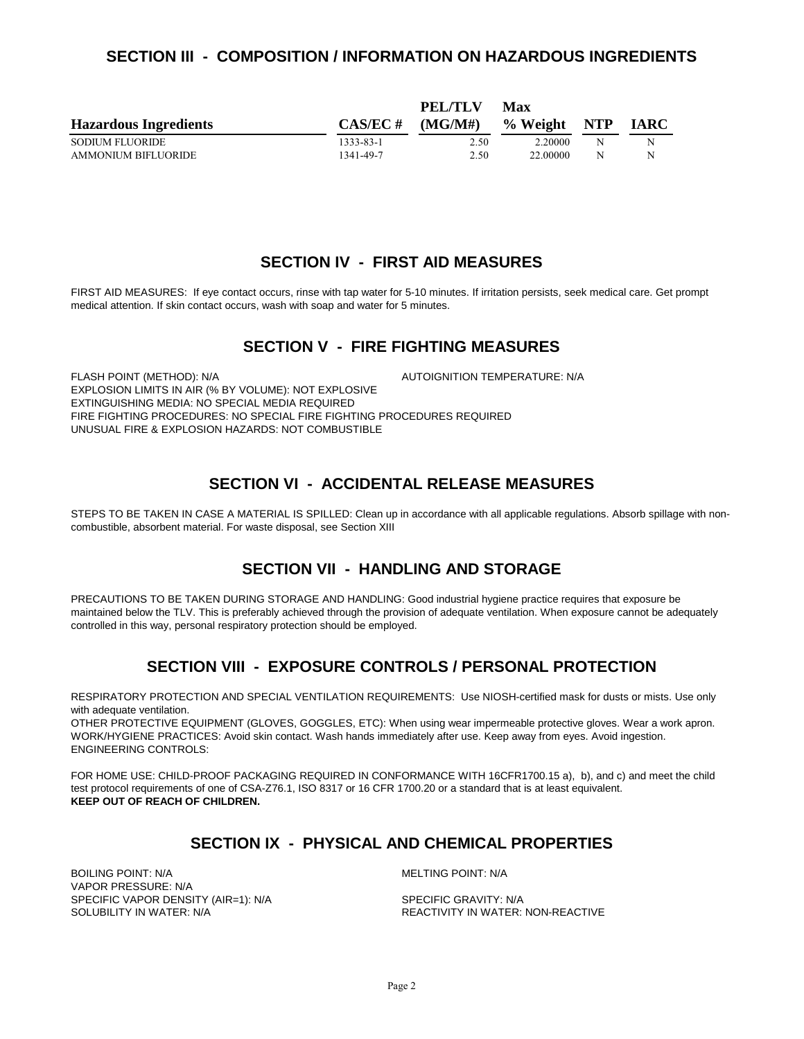#### **SECTION III - COMPOSITION / INFORMATION ON HAZARDOUS INGREDIENTS**

|                              |             | PEL/TLV | Max          |   |             |
|------------------------------|-------------|---------|--------------|---|-------------|
| <b>Hazardous Ingredients</b> | $CAS/EC \#$ | (MGMH)  | % Weight NTP |   | <b>IARC</b> |
| <b>SODIUM FLUORIDE</b>       | 1333-83-1   | 2.50    | 2.20000      | N | N           |
| AMMONIUM BIFLUORIDE          | 1341-49-7   | 2.50    | 22.00000     | N | N           |

#### **SECTION IV - FIRST AID MEASURES**

FIRST AID MEASURES: If eye contact occurs, rinse with tap water for 5-10 minutes. If irritation persists, seek medical care. Get prompt medical attention. If skin contact occurs, wash with soap and water for 5 minutes.

#### **SECTION V - FIRE FIGHTING MEASURES**

FLASH POINT (METHOD): N/A  $\overline{A}$  autoignition temperature: N/A EXPLOSION LIMITS IN AIR (% BY VOLUME): NOT EXPLOSIVE EXTINGUISHING MEDIA: NO SPECIAL MEDIA REQUIRED FIRE FIGHTING PROCEDURES: NO SPECIAL FIRE FIGHTING PROCEDURES REQUIRED UNUSUAL FIRE & EXPLOSION HAZARDS: NOT COMBUSTIBLE

### **SECTION VI - ACCIDENTAL RELEASE MEASURES**

STEPS TO BE TAKEN IN CASE A MATERIAL IS SPILLED: Clean up in accordance with all applicable regulations. Absorb spillage with noncombustible, absorbent material. For waste disposal, see Section XIII

### **SECTION VII - HANDLING AND STORAGE**

PRECAUTIONS TO BE TAKEN DURING STORAGE AND HANDLING: Good industrial hygiene practice requires that exposure be maintained below the TLV. This is preferably achieved through the provision of adequate ventilation. When exposure cannot be adequately controlled in this way, personal respiratory protection should be employed.

### **SECTION VIII - EXPOSURE CONTROLS / PERSONAL PROTECTION**

RESPIRATORY PROTECTION AND SPECIAL VENTILATION REQUIREMENTS: Use NIOSH-certified mask for dusts or mists. Use only with adequate ventilation.

OTHER PROTECTIVE EQUIPMENT (GLOVES, GOGGLES, ETC): When using wear impermeable protective gloves. Wear a work apron. WORK/HYGIENE PRACTICES: Avoid skin contact. Wash hands immediately after use. Keep away from eyes. Avoid ingestion. ENGINEERING CONTROLS:

FOR HOME USE: CHILD-PROOF PACKAGING REQUIRED IN CONFORMANCE WITH 16CFR1700.15 a), b), and c) and meet the child test protocol requirements of one of CSA-Z76.1, ISO 8317 or 16 CFR 1700.20 or a standard that is at least equivalent. **KEEP OUT OF REACH OF CHILDREN.**

### **SECTION IX - PHYSICAL AND CHEMICAL PROPERTIES**

BOILING POINT: N/A MELTING POINT: N/A VAPOR PRESSURE: N/A SPECIFIC VAPOR DENSITY (AIR=1): N/A SPECIFIC GRAVITY: N/A SOLUBILITY IN WATER:<br>SOLUBILITY IN WATER: N/A

REACTIVITY IN WATER: NON-REACTIVE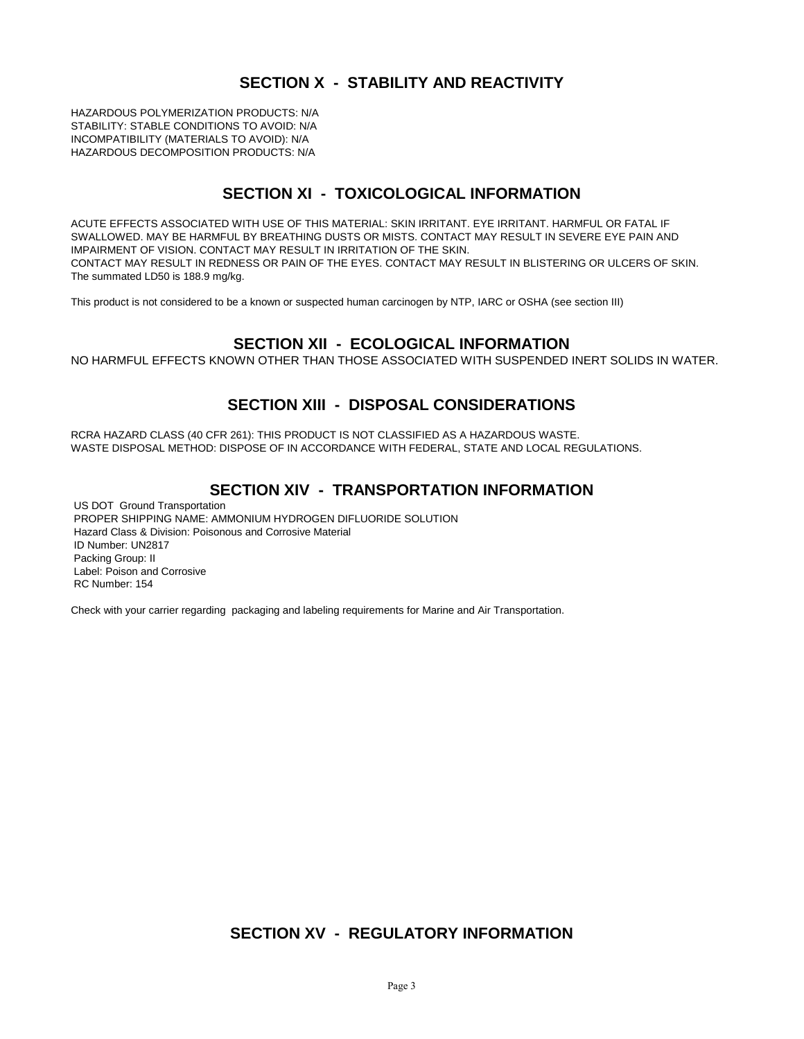# **SECTION X - STABILITY AND REACTIVITY**

HAZARDOUS POLYMERIZATION PRODUCTS: N/A STABILITY: STABLE CONDITIONS TO AVOID: N/A INCOMPATIBILITY (MATERIALS TO AVOID): N/A HAZARDOUS DECOMPOSITION PRODUCTS: N/A

### **SECTION XI - TOXICOLOGICAL INFORMATION**

ACUTE EFFECTS ASSOCIATED WITH USE OF THIS MATERIAL: SKIN IRRITANT. EYE IRRITANT. HARMFUL OR FATAL IF SWALLOWED. MAY BE HARMFUL BY BREATHING DUSTS OR MISTS. CONTACT MAY RESULT IN SEVERE EYE PAIN AND IMPAIRMENT OF VISION. CONTACT MAY RESULT IN IRRITATION OF THE SKIN. CONTACT MAY RESULT IN REDNESS OR PAIN OF THE EYES. CONTACT MAY RESULT IN BLISTERING OR ULCERS OF SKIN. The summated LD50 is 188.9 mg/kg.

This product is not considered to be a known or suspected human carcinogen by NTP, IARC or OSHA (see section III)

### **SECTION XII - ECOLOGICAL INFORMATION**

NO HARMFUL EFFECTS KNOWN OTHER THAN THOSE ASSOCIATED WITH SUSPENDED INERT SOLIDS IN WATER.

### **SECTION XIII - DISPOSAL CONSIDERATIONS**

RCRA HAZARD CLASS (40 CFR 261): THIS PRODUCT IS NOT CLASSIFIED AS A HAZARDOUS WASTE. WASTE DISPOSAL METHOD: DISPOSE OF IN ACCORDANCE WITH FEDERAL, STATE AND LOCAL REGULATIONS.

### **SECTION XIV - TRANSPORTATION INFORMATION**

US DOT Ground Transportation PROPER SHIPPING NAME: AMMONIUM HYDROGEN DIFLUORIDE SOLUTION Hazard Class & Division: Poisonous and Corrosive Material ID Number: UN2817 Packing Group: II Label: Poison and Corrosive RC Number: 154

Check with your carrier regarding packaging and labeling requirements for Marine and Air Transportation.

### **SECTION XV - REGULATORY INFORMATION**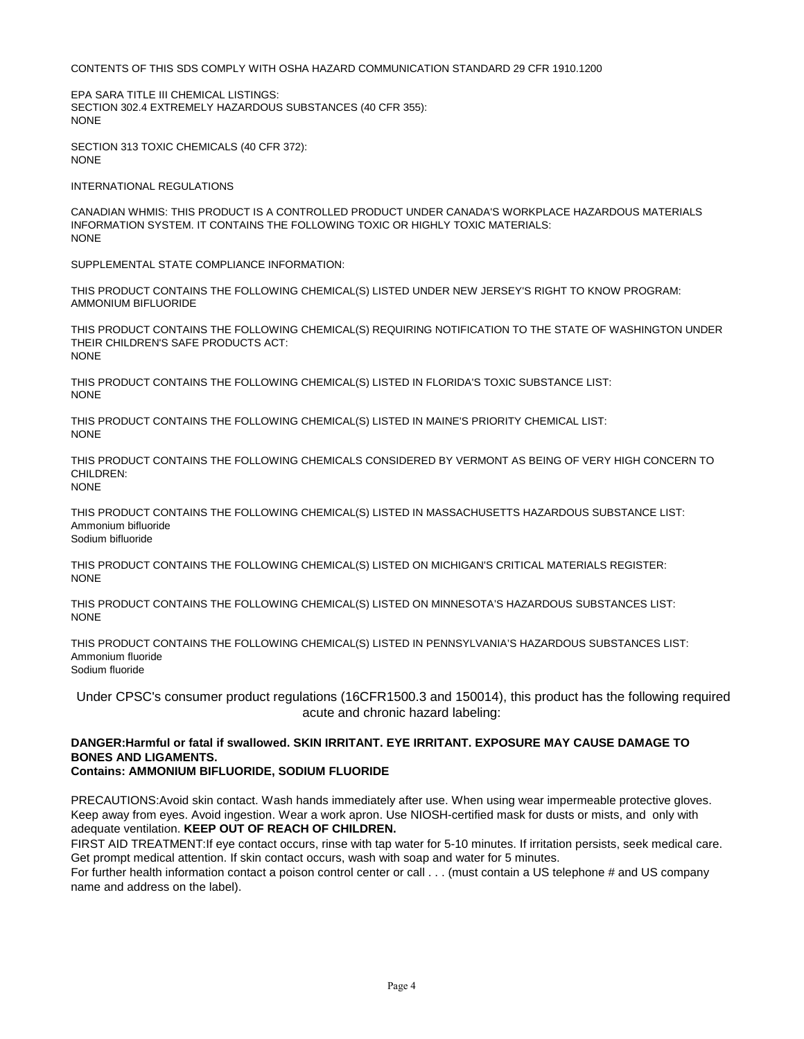CONTENTS OF THIS SDS COMPLY WITH OSHA HAZARD COMMUNICATION STANDARD 29 CFR 1910.1200

EPA SARA TITLE III CHEMICAL LISTINGS: SECTION 302.4 EXTREMELY HAZARDOUS SUBSTANCES (40 CFR 355): NONE

SECTION 313 TOXIC CHEMICALS (40 CFR 372): NONE

INTERNATIONAL REGULATIONS

CANADIAN WHMIS: THIS PRODUCT IS A CONTROLLED PRODUCT UNDER CANADA'S WORKPLACE HAZARDOUS MATERIALS INFORMATION SYSTEM. IT CONTAINS THE FOLLOWING TOXIC OR HIGHLY TOXIC MATERIALS: NONE

SUPPLEMENTAL STATE COMPLIANCE INFORMATION:

THIS PRODUCT CONTAINS THE FOLLOWING CHEMICAL(S) LISTED UNDER NEW JERSEY'S RIGHT TO KNOW PROGRAM: AMMONIUM BIFLUORIDE

THIS PRODUCT CONTAINS THE FOLLOWING CHEMICAL(S) REQUIRING NOTIFICATION TO THE STATE OF WASHINGTON UNDER THEIR CHILDREN'S SAFE PRODUCTS ACT: NONE

THIS PRODUCT CONTAINS THE FOLLOWING CHEMICAL(S) LISTED IN FLORIDA'S TOXIC SUBSTANCE LIST: NONE

THIS PRODUCT CONTAINS THE FOLLOWING CHEMICAL(S) LISTED IN MAINE'S PRIORITY CHEMICAL LIST: NONE

THIS PRODUCT CONTAINS THE FOLLOWING CHEMICALS CONSIDERED BY VERMONT AS BEING OF VERY HIGH CONCERN TO CHILDREN:

NONE

THIS PRODUCT CONTAINS THE FOLLOWING CHEMICAL(S) LISTED IN MASSACHUSETTS HAZARDOUS SUBSTANCE LIST: Ammonium bifluoride Sodium bifluoride

THIS PRODUCT CONTAINS THE FOLLOWING CHEMICAL(S) LISTED ON MICHIGAN'S CRITICAL MATERIALS REGISTER: **NONE** 

THIS PRODUCT CONTAINS THE FOLLOWING CHEMICAL(S) LISTED ON MINNESOTA'S HAZARDOUS SUBSTANCES LIST: **NONE** 

THIS PRODUCT CONTAINS THE FOLLOWING CHEMICAL(S) LISTED IN PENNSYLVANIA'S HAZARDOUS SUBSTANCES LIST: Ammonium fluoride Sodium fluoride

Under CPSC's consumer product regulations (16CFR1500.3 and 150014), this product has the following required acute and chronic hazard labeling:

#### **DANGER:Harmful or fatal if swallowed. SKIN IRRITANT. EYE IRRITANT. EXPOSURE MAY CAUSE DAMAGE TO BONES AND LIGAMENTS. Contains: AMMONIUM BIFLUORIDE, SODIUM FLUORIDE**

PRECAUTIONS:Avoid skin contact. Wash hands immediately after use. When using wear impermeable protective gloves. Keep away from eyes. Avoid ingestion. Wear a work apron. Use NIOSH-certified mask for dusts or mists, and only with adequate ventilation. **KEEP OUT OF REACH OF CHILDREN.** 

FIRST AID TREATMENT:If eye contact occurs, rinse with tap water for 5-10 minutes. If irritation persists, seek medical care. Get prompt medical attention. If skin contact occurs, wash with soap and water for 5 minutes.

For further health information contact a poison control center or call . . . (must contain a US telephone # and US company name and address on the label).